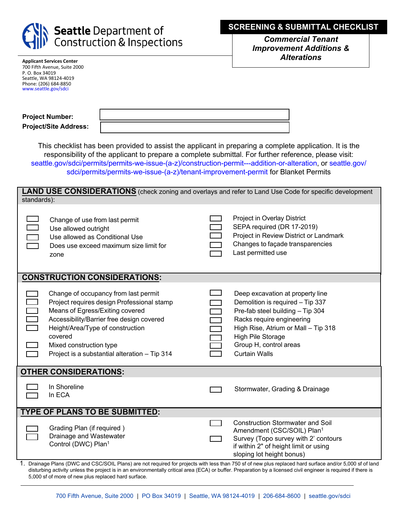

*Commercial Tenant Improvement Additions & Alterations* 

| <b>Applicant Services Center</b> |
|----------------------------------|
| 700 Fifth Avenue, Suite 2000     |
| P. O. Box 34019                  |
| Seattle, WA 98124-4019           |
| Phone: (206) 684-8850            |
| www.seattle.gov/sdci             |

| <b>Project Number:</b>       |  |
|------------------------------|--|
| <b>Project/Site Address:</b> |  |

This checklist has been provided to assist the applicant in preparing a complete application. It is the responsibility of the applicant to prepare a complete submittal. For further reference, please visit: [seattle.gov/sdci/permits/permits-we-issue-\(a-z\)/construction-permit---addition-or-](http://www.seattle.gov/sdci/permits/permits-we-issue-(a-z)/construction-permit---addition-or-alteration)[alteration, or seattle.gov/](http://www.seattle.gov/sdci/permits/permits-we-issue-(a-z)/tenant-improvement-permit-(blanket)) sdci/permits/permits-we-issue-(a-z)/tenant-improvement-permit for Blanket Permits

| <b>LAND USE CONSIDERATIONS</b> (check zoning and overlays and refer to Land Use Code for specific development<br>standards):                                                                                                                        |                                                                                                                                                                                                                                                                                               |  |  |  |  |  |
|-----------------------------------------------------------------------------------------------------------------------------------------------------------------------------------------------------------------------------------------------------|-----------------------------------------------------------------------------------------------------------------------------------------------------------------------------------------------------------------------------------------------------------------------------------------------|--|--|--|--|--|
| Project in Overlay District<br>SEPA required (DR 17-2019)<br>Project in Review District or Landmark<br>Changes to façade transparencies<br>Last permitted use                                                                                       | Change of use from last permit<br>Use allowed outright<br>Use allowed as Conditional Use<br>Does use exceed maximum size limit for<br>zone                                                                                                                                                    |  |  |  |  |  |
| <b>CONSTRUCTION CONSIDERATIONS:</b>                                                                                                                                                                                                                 |                                                                                                                                                                                                                                                                                               |  |  |  |  |  |
| Deep excavation at property line<br>Demolition is required - Tip 337<br>Pre-fab steel building - Tip 304<br>Racks require engineering<br>High Rise, Atrium or Mall - Tip 318<br>High Pile Storage<br>Group H, control areas<br><b>Curtain Walls</b> | Change of occupancy from last permit<br>Project requires design Professional stamp<br>Means of Egress/Exiting covered<br>Accessibility/Barrier free design covered<br>Height/Area/Type of construction<br>covered<br>Mixed construction type<br>Project is a substantial alteration - Tip 314 |  |  |  |  |  |
| <b>OTHER CONSIDERATIONS:</b>                                                                                                                                                                                                                        |                                                                                                                                                                                                                                                                                               |  |  |  |  |  |
| Stormwater, Grading & Drainage                                                                                                                                                                                                                      | In Shoreline<br>In ECA                                                                                                                                                                                                                                                                        |  |  |  |  |  |
|                                                                                                                                                                                                                                                     | <b>TYPE OF PLANS TO BE SUBMITTED:</b>                                                                                                                                                                                                                                                         |  |  |  |  |  |
| <b>Construction Stormwater and Soil</b><br>Amendment (CSC/SOIL) Plan <sup>1</sup><br>Survey (Topo survey with 2' contours<br>if within 2" of height limit or using<br>sloping lot height bonus)                                                     | Grading Plan (if required)<br>Drainage and Wastewater<br>Control (DWC) Plan <sup>1</sup>                                                                                                                                                                                                      |  |  |  |  |  |
| Drainage Plans (DWC and CSC/SOIL Plans) are not required for projects with less than 750 sf of new plus replaced hard surface and/or 5,000 sf of land                                                                                               |                                                                                                                                                                                                                                                                                               |  |  |  |  |  |

1. Drainage Plans (DWC and CSC/SOIL Plans) are not required for projects with less than 750 sf of new plus replaced hard surface and/or 5,000 sf of land disturbing activity unless the project is in an environmentally critical area (ECA) or buffer. Preparation by a licensed civil engineer is required if there is 5,000 sf of more of new plus replaced hard surface.